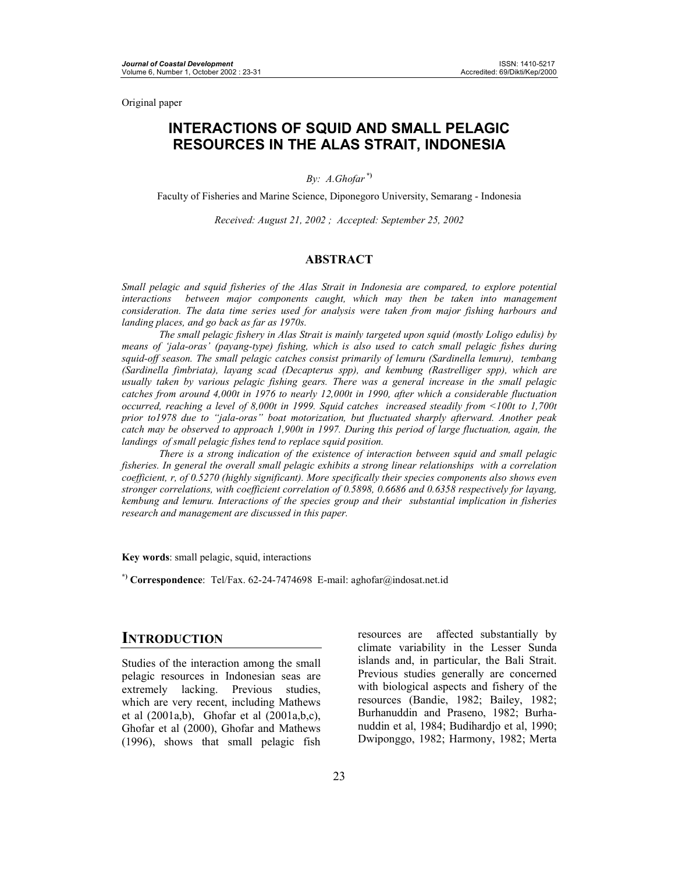Original paper

## **INTERACTIONS OF SQUID AND SMALL PELAGIC RESOURCES IN THE ALAS STRAIT, INDONESIA**

*By: A.Ghofar* **\*)**

Faculty of Fisheries and Marine Science, Diponegoro University, Semarang - Indonesia

*Received: August 21, 2002 ; Accepted: September 25, 2002* 

#### **ABSTRACT**

*Small pelagic and squid fisheries of the Alas Strait in Indonesia are compared, to explore potential interactions between major components caught, which may then be taken into management consideration. The data time series used for analysis were taken from major fishing harbours and landing places, and go back as far as 1970s.* 

 *The small pelagic fishery in Alas Strait is mainly targeted upon squid (mostly Loligo edulis) by means of 'jala-oras' (payang-type) fishing, which is also used to catch small pelagic fishes during squid-off season. The small pelagic catches consist primarily of lemuru (Sardinella lemuru), tembang (Sardinella fimbriata), layang scad (Decapterus spp), and kembung (Rastrelliger spp), which are usually taken by various pelagic fishing gears. There was a general increase in the small pelagic catches from around 4,000t in 1976 to nearly 12,000t in 1990, after which a considerable fluctuation occurred, reaching a level of 8,000t in 1999. Squid catches increased steadily from <100t to 1,700t prior to1978 due to "jala-oras" boat motorization, but fluctuated sharply afterward. Another peak catch may be observed to approach 1,900t in 1997. During this period of large fluctuation, again, the landings of small pelagic fishes tend to replace squid position.* 

*There is a strong indication of the existence of interaction between squid and small pelagic fisheries. In general the overall small pelagic exhibits a strong linear relationships with a correlation coefficient, r, of 0.5270 (highly significant). More specifically their species components also shows even stronger correlations, with coefficient correlation of 0.5898, 0.6686 and 0.6358 respectively for layang, kembung and lemuru. Interactions of the species group and their substantial implication in fisheries research and management are discussed in this paper.* 

**Key words**: small pelagic, squid, interactions

**\*) Correspondence**: Tel/Fax. 62-24-7474698 E-mail: aghofar@indosat.net.id

## **INTRODUCTION**

Studies of the interaction among the small pelagic resources in Indonesian seas are extremely lacking. Previous studies, which are very recent, including Mathews et al (2001a,b), Ghofar et al (2001a,b,c), Ghofar et al (2000), Ghofar and Mathews (1996), shows that small pelagic fish resources are affected substantially by climate variability in the Lesser Sunda islands and, in particular, the Bali Strait. Previous studies generally are concerned with biological aspects and fishery of the resources (Bandie, 1982; Bailey, 1982; Burhanuddin and Praseno, 1982; Burhanuddin et al, 1984; Budihardjo et al, 1990; Dwiponggo, 1982; Harmony, 1982; Merta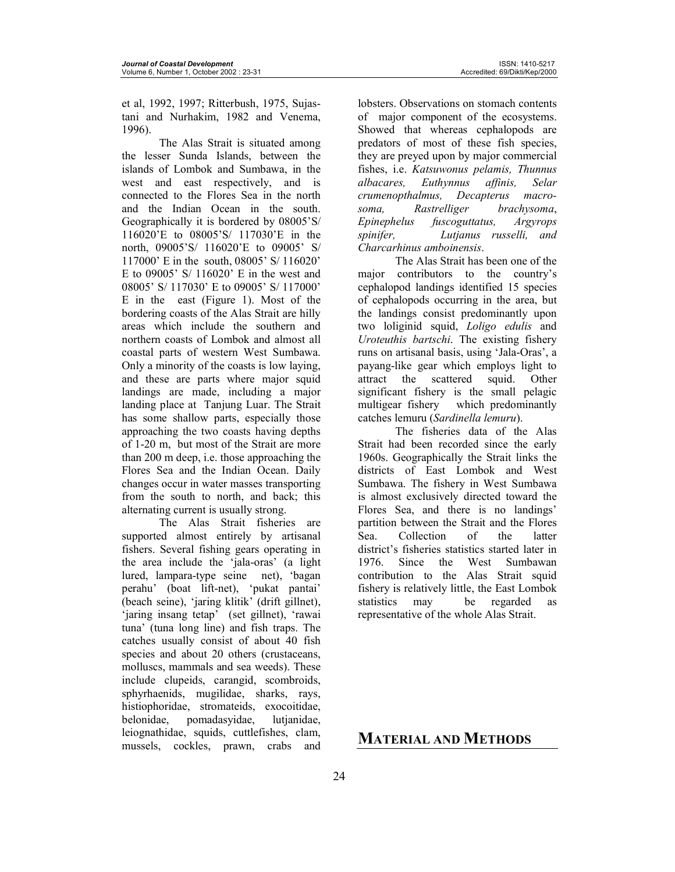et al, 1992, 1997; Ritterbush, 1975, Sujastani and Nurhakim, 1982 and Venema, 1996).

The Alas Strait is situated among the lesser Sunda Islands, between the islands of Lombok and Sumbawa, in the west and east respectively, and is connected to the Flores Sea in the north and the Indian Ocean in the south. Geographically it is bordered by 08005'S/ 116020'E to 08005'S/ 117030'E in the north, 09005'S/ 116020'E to 09005' S/ 117000' E in the south, 08005' S/ 116020' E to 09005' S/ 116020' E in the west and 08005' S/ 117030' E to 09005' S/ 117000' E in the east (Figure 1). Most of the bordering coasts of the Alas Strait are hilly areas which include the southern and northern coasts of Lombok and almost all coastal parts of western West Sumbawa. Only a minority of the coasts is low laying, and these are parts where major squid landings are made, including a major landing place at Tanjung Luar. The Strait has some shallow parts, especially those approaching the two coasts having depths of 1-20 m, but most of the Strait are more than 200 m deep, i.e. those approaching the Flores Sea and the Indian Ocean. Daily changes occur in water masses transporting from the south to north, and back; this alternating current is usually strong.

 The Alas Strait fisheries are supported almost entirely by artisanal fishers. Several fishing gears operating in the area include the 'jala-oras' (a light lured, lampara-type seine net), 'bagan perahu' (boat lift-net), 'pukat pantai' (beach seine), 'jaring klitik' (drift gillnet), 'jaring insang tetap' (set gillnet), 'rawai tuna' (tuna long line) and fish traps. The catches usually consist of about 40 fish species and about 20 others (crustaceans, molluscs, mammals and sea weeds). These include clupeids, carangid, scombroids, sphyrhaenids, mugilidae, sharks, rays, histiophoridae, stromateids, exocoitidae, belonidae, pomadasyidae, lutjanidae, leiognathidae, squids, cuttlefishes, clam, mussels, cockles, prawn, crabs and

lobsters. Observations on stomach contents of major component of the ecosystems. Showed that whereas cephalopods are predators of most of these fish species, they are preyed upon by major commercial fishes, i.e. *Katsuwonus pelamis, Thunnus albacares, Euthynnus affinis, Selar crumenopthalmus, Decapterus macrosoma, Rastrelliger brachysoma*, *Epinephelus fuscoguttatus, Argyrops spinifer, Lutjanus russelli, and Charcarhinus amboinensis*.

 The Alas Strait has been one of the major contributors to the country's cephalopod landings identified 15 species of cephalopods occurring in the area, but the landings consist predominantly upon two loliginid squid, *Loligo edulis* and *Uroteuthis bartschi*. The existing fishery runs on artisanal basis, using 'Jala-Oras', a payang-like gear which employs light to attract the scattered squid. Other significant fishery is the small pelagic multigear fishery which predominantly catches lemuru (*Sardinella lemuru*).

The fisheries data of the Alas Strait had been recorded since the early 1960s. Geographically the Strait links the districts of East Lombok and West Sumbawa. The fishery in West Sumbawa is almost exclusively directed toward the Flores Sea, and there is no landings' partition between the Strait and the Flores Sea. Collection of the latter district's fisheries statistics started later in 1976. Since the West Sumbawan contribution to the Alas Strait squid fishery is relatively little, the East Lombok statistics may be regarded as representative of the whole Alas Strait.

# **MATERIAL AND METHODS**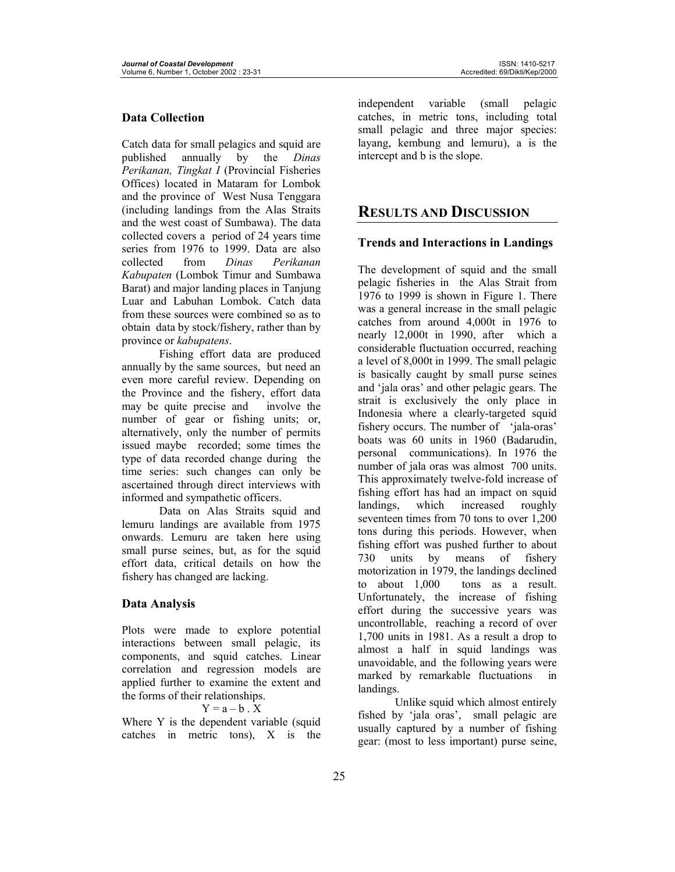#### **Data Collection**

Catch data for small pelagics and squid are published annually by the *Dinas Perikanan, Tingkat I* (Provincial Fisheries Offices) located in Mataram for Lombok and the province of West Nusa Tenggara (including landings from the Alas Straits and the west coast of Sumbawa). The data collected covers a period of 24 years time series from 1976 to 1999. Data are also collected from *Dinas Perikanan Kabupaten* (Lombok Timur and Sumbawa Barat) and major landing places in Tanjung Luar and Labuhan Lombok. Catch data from these sources were combined so as to obtain data by stock/fishery, rather than by province or *kabupatens*.

Fishing effort data are produced annually by the same sources, but need an even more careful review. Depending on the Province and the fishery, effort data may be quite precise and involve the number of gear or fishing units; or, alternatively, only the number of permits issued maybe recorded; some times the type of data recorded change during the time series: such changes can only be ascertained through direct interviews with informed and sympathetic officers.

Data on Alas Straits squid and lemuru landings are available from 1975 onwards. Lemuru are taken here using small purse seines, but, as for the squid effort data, critical details on how the fishery has changed are lacking.

#### **Data Analysis**

Plots were made to explore potential interactions between small pelagic, its components, and squid catches. Linear correlation and regression models are applied further to examine the extent and the forms of their relationships.

#### $Y = a - b$ .  $X$

Where Y is the dependent variable (squid catches in metric tons), X is the independent variable (small pelagic catches, in metric tons, including total small pelagic and three major species: layang, kembung and lemuru), a is the intercept and b is the slope.

## **RESULTS AND DISCUSSION**

#### **Trends and Interactions in Landings**

The development of squid and the small pelagic fisheries in the Alas Strait from 1976 to 1999 is shown in Figure 1. There was a general increase in the small pelagic catches from around 4,000t in 1976 to nearly 12,000t in 1990, after which a considerable fluctuation occurred, reaching a level of 8,000t in 1999. The small pelagic is basically caught by small purse seines and 'jala oras' and other pelagic gears. The strait is exclusively the only place in Indonesia where a clearly-targeted squid fishery occurs. The number of 'jala-oras' boats was 60 units in 1960 (Badarudin, personal communications). In 1976 the number of jala oras was almost 700 units. This approximately twelve-fold increase of fishing effort has had an impact on squid landings, which increased roughly seventeen times from 70 tons to over 1,200 tons during this periods. However, when fishing effort was pushed further to about 730 units by means of fishery motorization in 1979, the landings declined to about 1,000 tons as a result. Unfortunately, the increase of fishing effort during the successive years was uncontrollable, reaching a record of over 1,700 units in 1981. As a result a drop to almost a half in squid landings was unavoidable, and the following years were marked by remarkable fluctuations in landings.

 Unlike squid which almost entirely fished by 'jala oras', small pelagic are usually captured by a number of fishing gear: (most to less important) purse seine,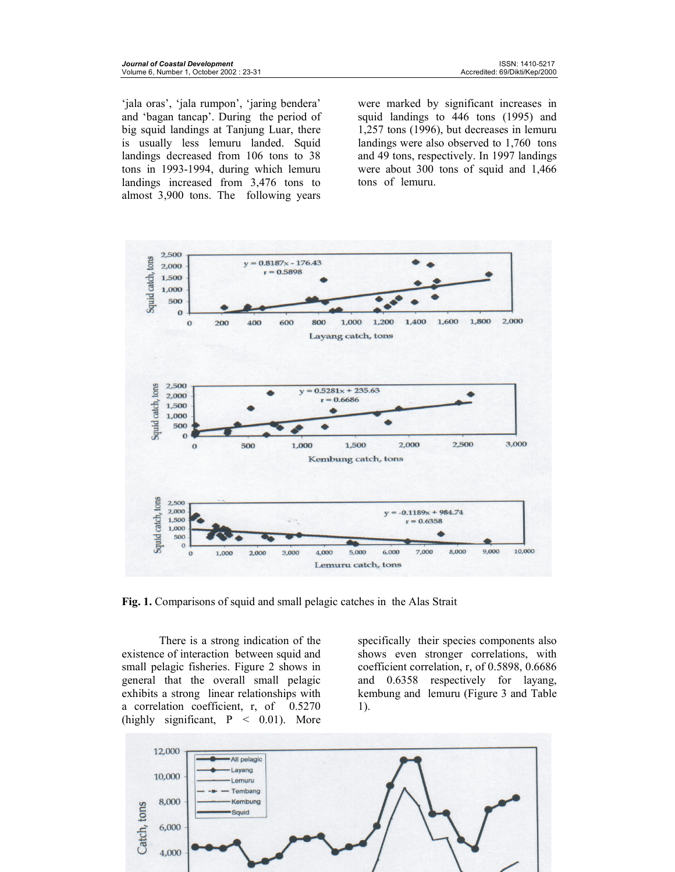'jala oras', 'jala rumpon', 'jaring bendera' and 'bagan tancap'. During the period of big squid landings at Tanjung Luar, there is usually less lemuru landed. Squid landings decreased from 106 tons to 38 tons in 1993-1994, during which lemuru landings increased from 3,476 tons to almost 3,900 tons. The following years

were marked by significant increases in squid landings to 446 tons (1995) and 1,257 tons (1996), but decreases in lemuru landings were also observed to 1,760 tons and 49 tons, respectively. In 1997 landings were about 300 tons of squid and 1,466 tons of lemuru.



**Fig. 1.** Comparisons of squid and small pelagic catches in the Alas Strait

There is a strong indication of the existence of interaction between squid and small pelagic fisheries. Figure 2 shows in general that the overall small pelagic exhibits a strong linear relationships with a correlation coefficient, r, of 0.5270 (highly significant,  $P \, < \, 0.01$ ). More

specifically their species components also shows even stronger correlations, with coefficient correlation, r, of 0.5898, 0.6686 and 0.6358 respectively for layang, kembung and lemuru (Figure 3 and Table 1).

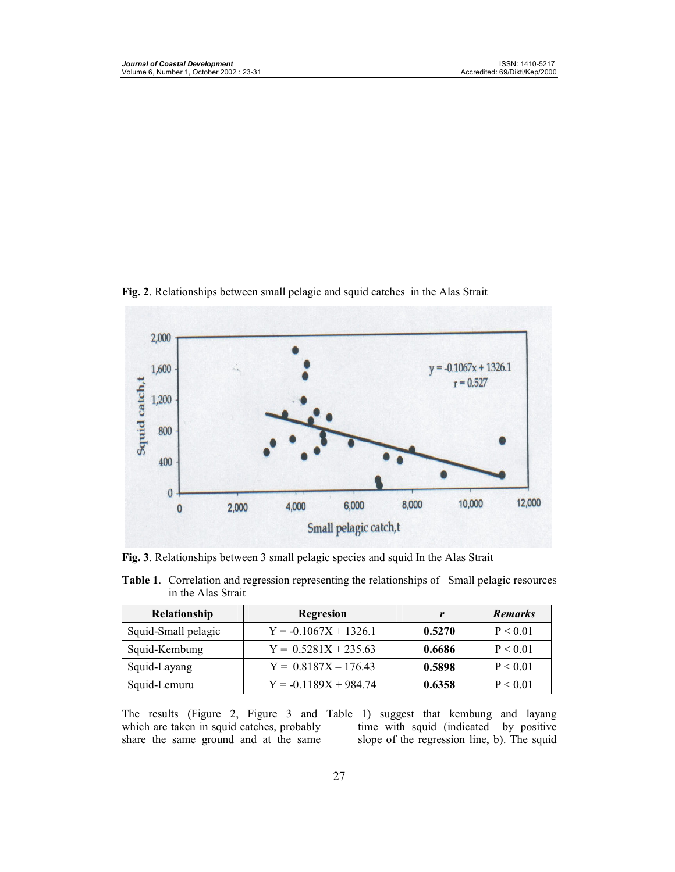

**Fig. 2**. Relationships between small pelagic and squid catches in the Alas Strait

**Fig. 3**. Relationships between 3 small pelagic species and squid In the Alas Strait

| <b>Table 1.</b> Correlation and regression representing the relationships of Small pelagic resources |  |
|------------------------------------------------------------------------------------------------------|--|
| in the Alas Strait                                                                                   |  |

| <b>Relationship</b> | Regresion               |        | <b>Remarks</b> |
|---------------------|-------------------------|--------|----------------|
| Squid-Small pelagic | $Y = -0.1067X + 1326.1$ | 0.5270 | P < 0.01       |
| Squid-Kembung       | $Y = 0.5281X + 235.63$  | 0.6686 | P < 0.01       |
| Squid-Layang        | $Y = 0.8187X - 176.43$  | 0.5898 | P < 0.01       |
| Squid-Lemuru        | $Y = -0.1189X + 984.74$ | 0.6358 | P < 0.01       |

The results (Figure 2, Figure 3 and Table 1) suggest that kembung and layang which are taken in squid catches, probably share the same ground and at the same

time with squid (indicated by positive slope of the regression line, b). The squid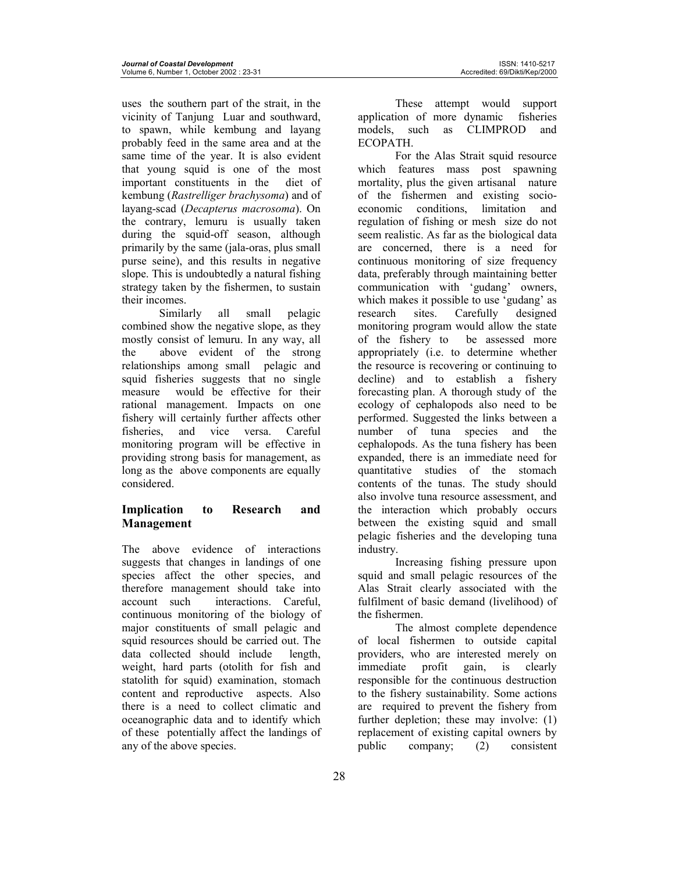uses the southern part of the strait, in the vicinity of Tanjung Luar and southward, to spawn, while kembung and layang probably feed in the same area and at the same time of the year. It is also evident that young squid is one of the most important constituents in the diet of kembung (*Rastrelliger brachysoma*) and of layang-scad (*Decapterus macrosoma*). On the contrary, lemuru is usually taken during the squid-off season, although primarily by the same (jala-oras, plus small purse seine), and this results in negative slope. This is undoubtedly a natural fishing strategy taken by the fishermen, to sustain their incomes.

Similarly all small pelagic combined show the negative slope, as they mostly consist of lemuru. In any way, all the above evident of the strong relationships among small pelagic and squid fisheries suggests that no single measure would be effective for their rational management. Impacts on one fishery will certainly further affects other fisheries, and vice versa. Careful monitoring program will be effective in providing strong basis for management, as long as the above components are equally considered.

## **Implication to Research and Management**

The above evidence of interactions suggests that changes in landings of one species affect the other species, and therefore management should take into account such interactions. Careful, continuous monitoring of the biology of major constituents of small pelagic and squid resources should be carried out. The data collected should include length, weight, hard parts (otolith for fish and statolith for squid) examination, stomach content and reproductive aspects. Also there is a need to collect climatic and oceanographic data and to identify which of these potentially affect the landings of any of the above species.

These attempt would support application of more dynamic fisheries models, such as CLIMPROD and ECOPATH.

For the Alas Strait squid resource which features mass post spawning mortality, plus the given artisanal nature of the fishermen and existing socioeconomic conditions, limitation and regulation of fishing or mesh size do not seem realistic. As far as the biological data are concerned, there is a need for continuous monitoring of size frequency data, preferably through maintaining better communication with 'gudang' owners, which makes it possible to use 'gudang' as research sites. Carefully designed monitoring program would allow the state of the fishery to be assessed more appropriately (i.e. to determine whether the resource is recovering or continuing to decline) and to establish a fishery forecasting plan. A thorough study of the ecology of cephalopods also need to be performed. Suggested the links between a number of tuna species and the cephalopods. As the tuna fishery has been expanded, there is an immediate need for quantitative studies of the stomach contents of the tunas. The study should also involve tuna resource assessment, and the interaction which probably occurs between the existing squid and small pelagic fisheries and the developing tuna industry.

Increasing fishing pressure upon squid and small pelagic resources of the Alas Strait clearly associated with the fulfilment of basic demand (livelihood) of the fishermen.

The almost complete dependence of local fishermen to outside capital providers, who are interested merely on<br>immediate profit gain, is clearly immediate profit gain, is clearly responsible for the continuous destruction to the fishery sustainability. Some actions are required to prevent the fishery from further depletion; these may involve: (1) replacement of existing capital owners by public company; (2) consistent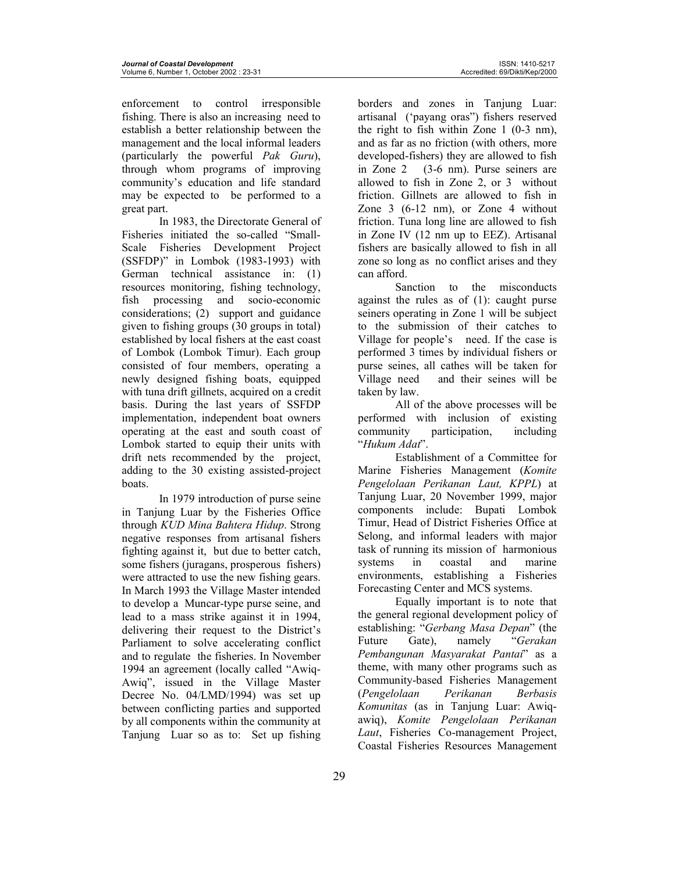enforcement to control irresponsible fishing. There is also an increasing need to establish a better relationship between the management and the local informal leaders (particularly the powerful *Pak Guru*), through whom programs of improving community's education and life standard may be expected to be performed to a great part.

In 1983, the Directorate General of Fisheries initiated the so-called "Small-Scale Fisheries Development Project (SSFDP)" in Lombok (1983-1993) with German technical assistance in: (1) resources monitoring, fishing technology, fish processing and socio-economic considerations; (2) support and guidance given to fishing groups (30 groups in total) established by local fishers at the east coast of Lombok (Lombok Timur). Each group consisted of four members, operating a newly designed fishing boats, equipped with tuna drift gillnets, acquired on a credit basis. During the last years of SSFDP implementation, independent boat owners operating at the east and south coast of Lombok started to equip their units with drift nets recommended by the project, adding to the 30 existing assisted-project boats.

In 1979 introduction of purse seine in Tanjung Luar by the Fisheries Office through *KUD Mina Bahtera Hidup*. Strong negative responses from artisanal fishers fighting against it, but due to better catch, some fishers (juragans, prosperous fishers) were attracted to use the new fishing gears. In March 1993 the Village Master intended to develop a Muncar-type purse seine, and lead to a mass strike against it in 1994, delivering their request to the District's Parliament to solve accelerating conflict and to regulate the fisheries. In November 1994 an agreement (locally called "Awiq-Awiq", issued in the Village Master Decree No. 04/LMD/1994) was set up between conflicting parties and supported by all components within the community at Tanjung Luar so as to: Set up fishing

borders and zones in Tanjung Luar: artisanal ('payang oras") fishers reserved the right to fish within Zone 1 (0-3 nm), and as far as no friction (with others, more developed-fishers) they are allowed to fish in Zone 2 (3-6 nm). Purse seiners are allowed to fish in Zone 2, or 3 without friction. Gillnets are allowed to fish in Zone 3 (6-12 nm), or Zone 4 without friction. Tuna long line are allowed to fish in Zone IV (12 nm up to EEZ). Artisanal fishers are basically allowed to fish in all zone so long as no conflict arises and they can afford.

Sanction to the misconducts against the rules as of (1): caught purse seiners operating in Zone 1 will be subject to the submission of their catches to Village for people's need. If the case is performed 3 times by individual fishers or purse seines, all cathes will be taken for Village need and their seines will be taken by law.

All of the above processes will be performed with inclusion of existing community participation, including "*Hukum Adat*".

Establishment of a Committee for Marine Fisheries Management (*Komite Pengelolaan Perikanan Laut, KPPL*) at Tanjung Luar, 20 November 1999, major components include: Bupati Lombok Timur, Head of District Fisheries Office at Selong, and informal leaders with major task of running its mission of harmonious systems in coastal and marine environments, establishing a Fisheries Forecasting Center and MCS systems.

Equally important is to note that the general regional development policy of establishing: "*Gerbang Masa Depan*" (the Future Gate), namely "*Gerakan Pembangunan Masyarakat Pantai*" as a theme, with many other programs such as Community-based Fisheries Management (*Pengelolaan Perikanan Berbasis Komunitas* (as in Tanjung Luar: Awiqawiq), *Komite Pengelolaan Perikanan Laut*, Fisheries Co-management Project, Coastal Fisheries Resources Management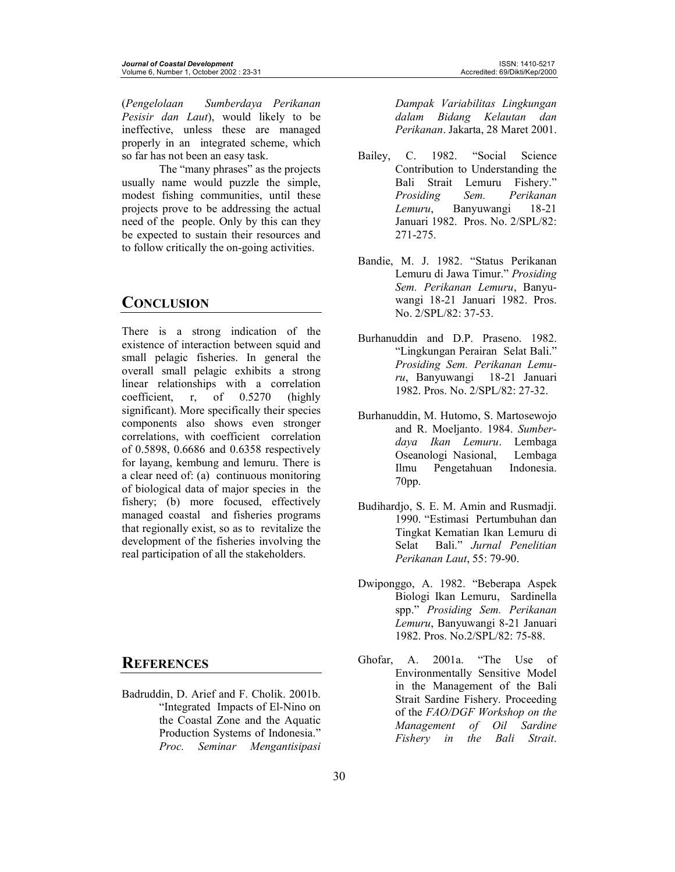(*Pengelolaan Sumberdaya Perikanan Pesisir dan Laut*), would likely to be ineffective, unless these are managed properly in an integrated scheme, which so far has not been an easy task.

 The "many phrases" as the projects usually name would puzzle the simple, modest fishing communities, until these projects prove to be addressing the actual need of the people. Only by this can they be expected to sustain their resources and to follow critically the on-going activities.

## **CONCLUSION**

There is a strong indication of the existence of interaction between squid and small pelagic fisheries. In general the overall small pelagic exhibits a strong linear relationships with a correlation coefficient, r, of 0.5270 (highly significant). More specifically their species components also shows even stronger correlations, with coefficient correlation of 0.5898, 0.6686 and 0.6358 respectively for layang, kembung and lemuru. There is a clear need of: (a) continuous monitoring of biological data of major species in the fishery; (b) more focused, effectively managed coastal and fisheries programs that regionally exist, so as to revitalize the development of the fisheries involving the real participation of all the stakeholders.

## **REFERENCES**

Badruddin, D. Arief and F. Cholik. 2001b. "Integrated Impacts of El-Nino on the Coastal Zone and the Aquatic Production Systems of Indonesia." *Proc. Seminar Mengantisipasi* 

*Dampak Variabilitas Lingkungan dalam Bidang Kelautan dan Perikanan*. Jakarta, 28 Maret 2001.

- Bailey, C. 1982. "Social Science Contribution to Understanding the Bali Strait Lemuru Fishery." *Prosiding Sem. Perikanan Lemuru*, Banyuwangi 18-21 Januari 1982. Pros. No. 2/SPL/82: 271-275.
- Bandie, M. J. 1982. "Status Perikanan Lemuru di Jawa Timur." *Prosiding Sem. Perikanan Lemuru*, Banyuwangi 18-21 Januari 1982. Pros. No. 2/SPL/82: 37-53.
- Burhanuddin and D.P. Praseno. 1982. "Lingkungan Perairan Selat Bali." *Prosiding Sem. Perikanan Lemuru*, Banyuwangi 18-21 Januari 1982. Pros. No. 2/SPL/82: 27-32.
- Burhanuddin, M. Hutomo, S. Martosewojo and R. Moeljanto. 1984. *Sumberdaya Ikan Lemuru*. Lembaga Oseanologi Nasional, Lembaga Ilmu Pengetahuan Indonesia. 70pp.
- Budihardjo, S. E. M. Amin and Rusmadji. 1990. "Estimasi Pertumbuhan dan Tingkat Kematian Ikan Lemuru di Selat Bali." *Jurnal Penelitian Perikanan Laut*, 55: 79-90.
- Dwiponggo, A. 1982. "Beberapa Aspek Biologi Ikan Lemuru, Sardinella spp." *Prosiding Sem. Perikanan Lemuru*, Banyuwangi 8-21 Januari 1982. Pros. No.2/SPL/82: 75-88.
- Ghofar, A. 2001a. "The Use of Environmentally Sensitive Model in the Management of the Bali Strait Sardine Fishery. Proceeding of the *FAO/DGF Workshop on the Management of Oil Sardine Fishery in the Bali Strait*.